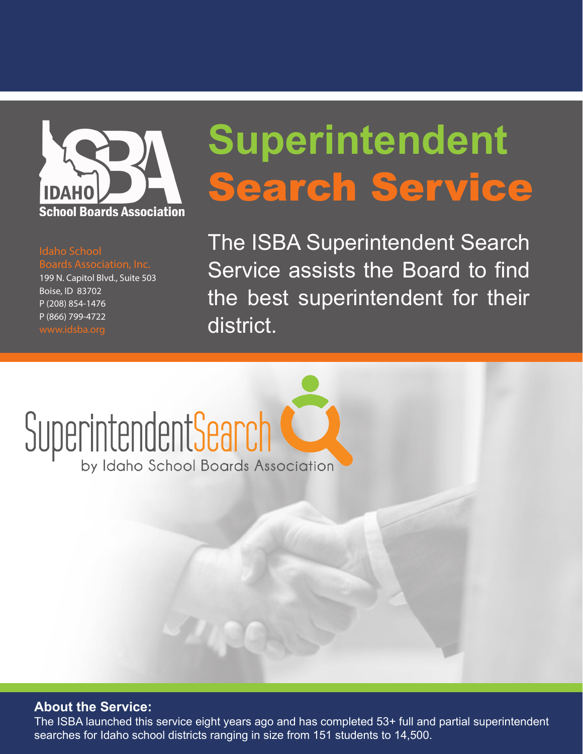

#### Idaho School

199 N. Capitol Blvd., Suite 503 Boise, ID 83702 P (208) 854-1476 P (866) 799-4722

### **Superintendent** Search Service

The ISBA Superintendent Search Service assists the Board to find the best superintendent for their district.

# Superintendent Search

#### **About the Service:**

The ISBA launched this service eight years ago and has completed 53+ full and partial superintendent searches for Idaho school districts ranging in size from 151 students to 14,500.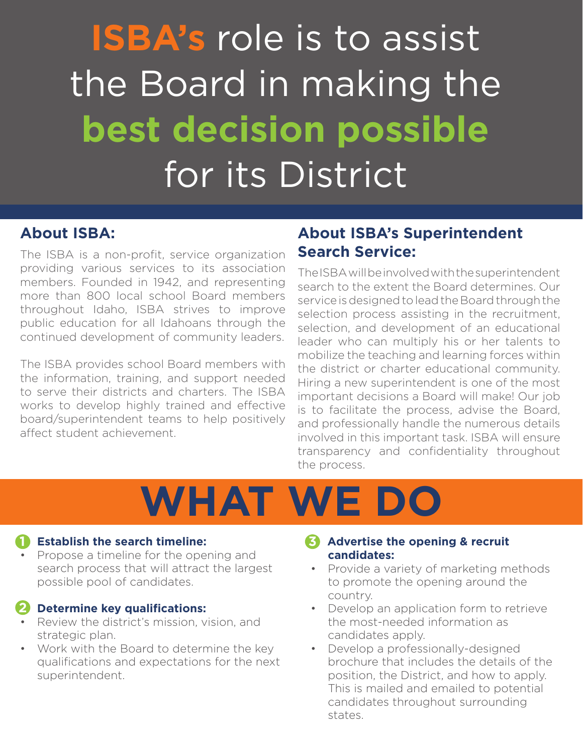### **ISBA's** role is to assist the Board in making the **best decision possible** for its District

#### **About ISBA:**

The ISBA is a non-profit, service organization providing various services to its association members. Founded in 1942, and representing more than 800 local school Board members throughout Idaho, ISBA strives to improve public education for all Idahoans through the continued development of community leaders.

The ISBA provides school Board members with the information, training, and support needed to serve their districts and charters. The ISBA works to develop highly trained and effective board/superintendent teams to help positively affect student achievement.

#### **About ISBA's Superintendent Search Service:**

The ISBA will be involved with the superintendent search to the extent the Board determines. Our service is designed to lead the Board through the selection process assisting in the recruitment, selection, and development of an educational leader who can multiply his or her talents to mobilize the teaching and learning forces within the district or charter educational community. Hiring a new superintendent is one of the most important decisions a Board will make! Our job is to facilitate the process, advise the Board, and professionally handle the numerous details involved in this important task. ISBA will ensure transparency and confidentiality throughout the process.

## **WHAT WE DO**

#### **1** Establish the search timeline:

Propose a timeline for the opening and search process that will attract the largest possible pool of candidates.

#### 2 Determine key qualifications:

- Review the district's mission, vision, and strategic plan.
- Work with the Board to determine the key qualifications and expectations for the next superintendent.

#### **Advertise the opening & recruit 3 candidates:**

- • Provide a variety of marketing methods to promote the opening around the country.
- • Develop an application form to retrieve the most-needed information as candidates apply.
- Develop a professionally-designed brochure that includes the details of the position, the District, and how to apply. This is mailed and emailed to potential candidates throughout surrounding states.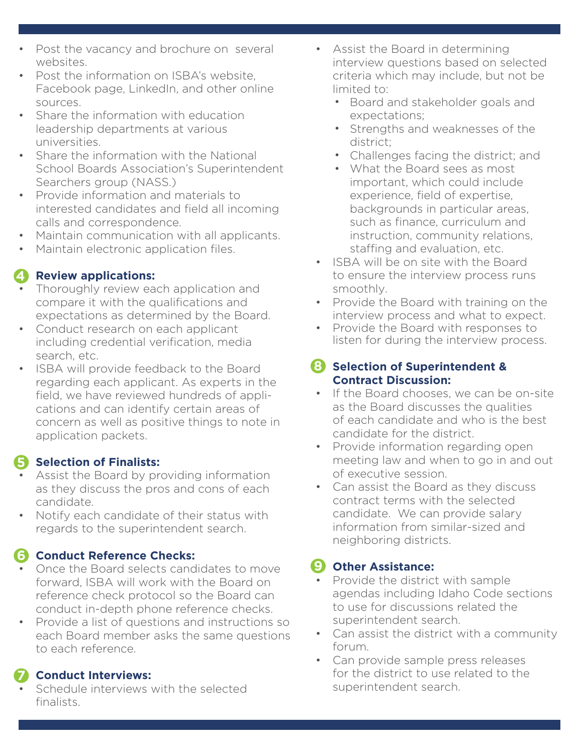- Post the vacancy and brochure on several websites.
- Post the information on ISBA's website Facebook page, LinkedIn, and other online sources.
- Share the information with education leadership departments at various universities.
- Share the information with the National School Boards Association's Superintendent Searchers group (NASS.)
- • Provide information and materials to interested candidates and field all incoming calls and correspondence.
- Maintain communication with all applicants.
- Maintain electronic application files.

#### **4** Review applications:

- Thoroughly review each application and compare it with the qualifications and expectations as determined by the Board.
- Conduct research on each applicant including credential verification, media search, etc.
- • ISBA will provide feedback to the Board regarding each applicant. As experts in the field, we have reviewed hundreds of applications and can identify certain areas of concern as well as positive things to note in application packets.

#### **5** Selection of Finalists:

- Assist the Board by providing information as they discuss the pros and cons of each candidate.
- Notify each candidate of their status with regards to the superintendent search.

#### **Conduct Reference Checks: 6**

- Once the Board selects candidates to move forward, ISBA will work with the Board on reference check protocol so the Board can conduct in-depth phone reference checks.
- Provide a list of questions and instructions so each Board member asks the same questions to each reference.

#### **Conduct Interviews: 7**

Schedule interviews with the selected finalists.

- • Assist the Board in determining interview questions based on selected criteria which may include, but not be limited to:
	- Board and stakeholder goals and expectations;
	- Strengths and weaknesses of the district; •
	- Challenges facing the district; and •
	- What the Board sees as most important, which could include experience, field of expertise, backgrounds in particular areas, such as finance, curriculum and instruction, community relations, staffing and evaluation, etc.
- • ISBA will be on site with the Board to ensure the interview process runs smoothly.
- Provide the Board with training on the interview process and what to expect.
- Provide the Board with responses to listen for during the interview process.

#### **Selection of Superintendent & 8 Contract Discussion:**

- If the Board chooses, we can be on-site as the Board discusses the qualities of each candidate and who is the best candidate for the district.
- Provide information regarding open meeting law and when to go in and out of executive session.
- Can assist the Board as they discuss contract terms with the selected candidate. We can provide salary information from similar-sized and neighboring districts.

#### **Other Assistance: 9**

- Provide the district with sample agendas including Idaho Code sections to use for discussions related the superintendent search.
- Can assist the district with a community forum.
- Can provide sample press releases for the district to use related to the superintendent search.